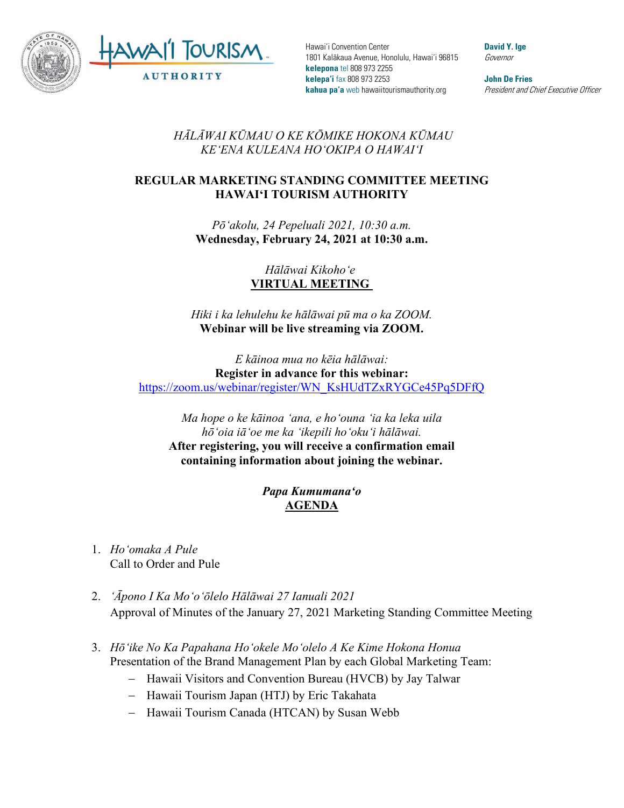

Hawai'i Convention Center 1801 Kalākaua Avenue, Honolulu, Hawai'i 96815 **kelepona** tel 808 973 2255 **kelepa'i** fax 808 973 2253 **kahua pa'a** web hawaiitourismauthority.org

**David Y. Ige** Governor

**John De Fries** President and Chief Executive Officer

*HĀLĀWAI KŪMAU O KE KŌMIKE HOKONA KŪMAU KEʻENA KULEANA HOʻOKIPA O HAWAIʻI* 

## **REGULAR MARKETING STANDING COMMITTEE MEETING HAWAI'I TOURISM AUTHORITY**

*Pōʻakolu, 24 Pepeluali 2021, 10:30 a.m.* **Wednesday, February 24, 2021 at 10:30 a.m.**

> *Hālāwai Kikohoʻe* **VIRTUAL MEETING**

*Hiki i ka lehulehu ke hālāwai pū ma o ka ZOOM.* **Webinar will be live streaming via ZOOM.**

*E kāinoa mua no kēia hālāwai:* **Register in advance for this webinar:** [https://zoom.us/webinar/register/WN\\_KsHUdTZxRYGCe45Pq5DFfQ](https://zoom.us/webinar/register/WN_KsHUdTZxRYGCe45Pq5DFfQ)

*Ma hope o ke kāinoa ʻana, e hoʻouna ʻia ka leka uila hōʻoia iāʻoe me ka ʻikepili hoʻokuʻi hālāwai.*  **After registering, you will receive a confirmation email containing information about joining the webinar.**

> *Papa Kumumanaʻo* **AGENDA**

- 1. *Hoʻomaka A Pule* Call to Order and Pule
- 2. *ʻĀpono I Ka Moʻoʻōlelo Hālāwai 27 Ianuali 2021* Approval of Minutes of the January 27, 2021 Marketing Standing Committee Meeting
- 3. *Hōʻike No Ka Papahana Hoʻokele Moʻolelo A Ke Kime Hokona Honua* Presentation of the Brand Management Plan by each Global Marketing Team:
	- − Hawaii Visitors and Convention Bureau (HVCB) by Jay Talwar
	- − Hawaii Tourism Japan (HTJ) by Eric Takahata
	- − Hawaii Tourism Canada (HTCAN) by Susan Webb